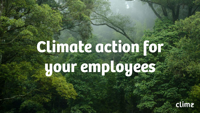## **Climate action for your employees**

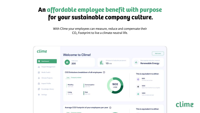#### **An affordable employee benefit with purpose for your sustainable company culture.**

With Clime your employees can measure, reduce and compensate their CO<sub>2</sub> Footprint to live a climate neutral life.



clime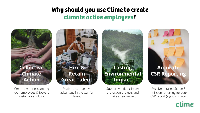#### **Why should you use Clime to create climate active employees?**



Create awareness among your employees & foster a sustainable culture

Realise a competitive advantage in the war for talent

**Hire &** 

**Retain** 

**Great Talent**

Support verified climate protection projects and make a real impact

**Lasting Environmental** 

**Impact**

# **Accurate CSR Reporting**

Receive detailed Scope 3 emission reporting for your CSR report (e.g. commute)

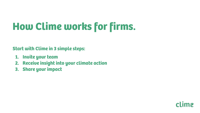## **How Clime works for firms.**

**Start with Clime in 3 simple steps:**

- **1. Invite your team**
- **2. Receive insight into your climate action**
- **3. Share your impact**

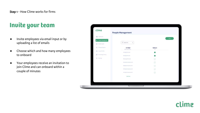## **Invite your team**

- Invite employees via email input or by uploading a list of emails
- Choose which and how many employees to onboard
- Your employees receive an invitation to join Clime and can onboard within a couple of minutes

L

| clime                                             | <b>People Management</b>       |               |           |
|---------------------------------------------------|--------------------------------|---------------|-----------|
| <b>請 Dashboard</b>                                |                                |               | [ India ] |
| <b>Int</b> People Management<br>for Media louter. | $\mathbf{x}$<br>Q Lingsclinede |               |           |
| A Climate Projects                                | E-Mail<br>200 total users      | Select<br>140 |           |
| the Impact Profile                                | oft.orreits@adore.il           |               |           |
| E Knowledge Library                               | foun@climu.do                  |               |           |
| <b>B</b> Settings                                 | Martingt clime du              | O             |           |
|                                                   | Secrit more participant.       | O             |           |
|                                                   | <b>Uljah</b> (bcompany point)  | $\odot$       |           |
|                                                   | Olivis@company.com             | $\circ$       |           |
|                                                   | Annuithcompany.com             | $\odot$       |           |
|                                                   | Inadmire                       |               |           |
|                                                   |                                |               |           |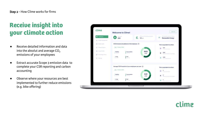## **Receive insight into your climate action**

- Receive detailed information and data into the absolut and average  $CO<sub>2</sub>$ emissions of your employees
- Extract accurate Scope 3 emission data to complete your CSR reporting and carbon accounting
- Observe where your resources are best implemented to further reduce emissions (e.g. bike offering)



clime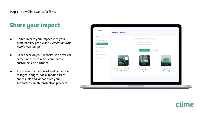## **Share your impact**

- Communicate your impact with your sustainability profile and *Climate neutral* employees badge
- Place these on your website, job offers or career website to reach candidates, customers and partners
- Access our media toolkit and get access to logos, badges, social media assets and visuals and videos from your supported climate protection projects



clime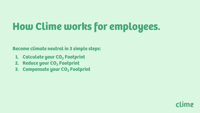## **How Clime works for employees.**

**Become climate neutral in 3 simple steps:**

- **1. Calculate your CO<sub>2</sub> Footprint**
- **2. Reduce your CO<sub>2</sub> Footprint**
- **3. Compensate your CO<sub>2</sub> Footprint**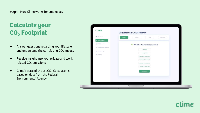## **Calculate your CO2 Footprint**

- Answer questions regarding your lifestyle and understand the correlating CO<sub>2</sub> impact
- Receive insight into your private and work related  $CO<sub>2</sub>$  emissions
- $\bullet$  Clime's state of the art CO<sub>2</sub> Calculator is based on data from the Federal Environmental Agency

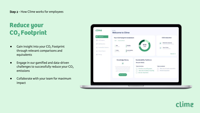## **Reduce your CO<sub>2</sub> Footprint**

- $\bullet$  Gain insight into your CO<sub>2</sub> Footprint through relevant comparisons and equivalents
- Engage in our gamified and data-driven challenges to successfully reduce your  $CO<sub>2</sub>$ emissions
- Collaborate with your team for maximum impact

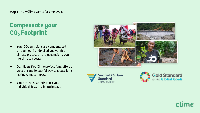### **Compensate your**  CO<sub>2</sub> Footprint

- Your  $CO<sub>2</sub>$  emissions are compensated through our handpicked and verified climate protection projects making your life climate neutral
- Our diversified Clime project fund offers a versatile and impactful way to create long lasting climate impact
- You can transparently track your individual & team climate impact







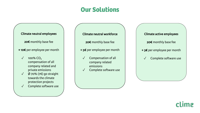### **Our Solutions**

Climate neutral employees 20€ monthly base fee + 10€ per employee per month  $\sqrt{100\%}$  CO<sub>2</sub> compensation of all

company related and private emissions

- $\sqrt{ }$  Ø 70% (7€) go straight towards the climate protection projects
- ✓ Complete software use
- Climate neutral workforce 20€ monthly base fee + 5€ per employee per month ✓ Compensation of all company related emissions
	- ✓ Complete software use
- Climate active employees 20€ monthly base fee + 3€ per employee per month
	- Complete software use

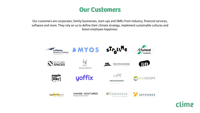

Our customers are corporates, family businesses, start-ups and SMEs from industry, financial services, software and more. They rely on us to define their climate strategy, implement sustainable cultures and boost employee happiness.